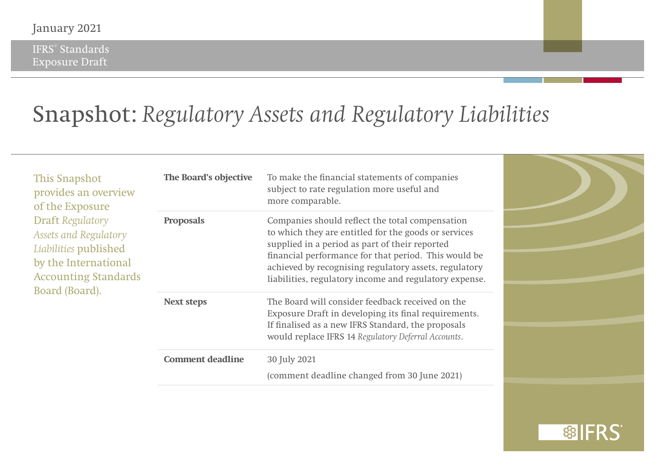IFRS® Standards Exposure Draft

## Snapshot: *Regulatory Assets and Regulatory Liabilities*

| This Snapshot<br>provides an overview<br>of the Exposure<br><b>Draft Regulatory</b><br><b>Assets and Regulatory</b><br>Liabilities published<br>by the International<br><b>Accounting Standards</b><br>Board (Board). | The Board's objective   | To make the financial statements of companies<br>subject to rate regulation more useful and<br>more comparable.                                                                                                                                                                                                                      |  |
|-----------------------------------------------------------------------------------------------------------------------------------------------------------------------------------------------------------------------|-------------------------|--------------------------------------------------------------------------------------------------------------------------------------------------------------------------------------------------------------------------------------------------------------------------------------------------------------------------------------|--|
|                                                                                                                                                                                                                       | <b>Proposals</b>        | Companies should reflect the total compensation<br>to which they are entitled for the goods or services<br>supplied in a period as part of their reported<br>financial performance for that period. This would be<br>achieved by recognising regulatory assets, regulatory<br>liabilities, regulatory income and regulatory expense. |  |
|                                                                                                                                                                                                                       | <b>Next steps</b>       | The Board will consider feedback received on the<br>Exposure Draft in developing its final requirements.<br>If finalised as a new IFRS Standard, the proposals<br>would replace IFRS 14 Regulatory Deferral Accounts.                                                                                                                |  |
|                                                                                                                                                                                                                       | <b>Comment deadline</b> | 30 July 2021<br>(comment deadline changed from 30 June 2021)                                                                                                                                                                                                                                                                         |  |

**錦IFRS**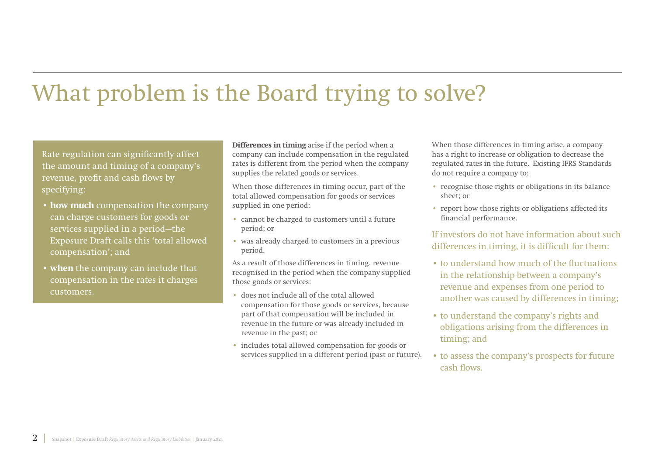## What problem is the Board trying to solve?

Rate regulation can significantly affect the amount and timing of a company's revenue, profit and cash flows by specifying:

- **how much** compensation the company can charge customers for goods or services supplied in a period—the Exposure Draft calls this 'total allowed compensation'; and
- **when** the company can include that compensation in the rates it charges customers.

**Differences in timing** arise if the period when a company can include compensation in the regulated rates is different from the period when the company supplies the related goods or services.

When those differences in timing occur, part of the total allowed compensation for goods or services supplied in one period:

- cannot be charged to customers until a future period; or
- was already charged to customers in a previous period.

As a result of those differences in timing, revenue recognised in the period when the company supplied those goods or services:

- does not include all of the total allowed compensation for those goods or services, because part of that compensation will be included in revenue in the future or was already included in revenue in the past; or
- includes total allowed compensation for goods or services supplied in a different period (past or future).

When those differences in timing arise, a company has a right to increase or obligation to decrease the regulated rates in the future. Existing IFRS Standards do not require a company to:

- recognise those rights or obligations in its balance sheet; or
- report how those rights or obligations affected its financial performance.

If investors do not have information about such differences in timing, it is difficult for them:

- to understand how much of the fluctuations in the relationship between a company's revenue and expenses from one period to another was caused by differences in timing;
- to understand the company's rights and obligations arising from the differences in timing; and
- to assess the company's prospects for future cash flows.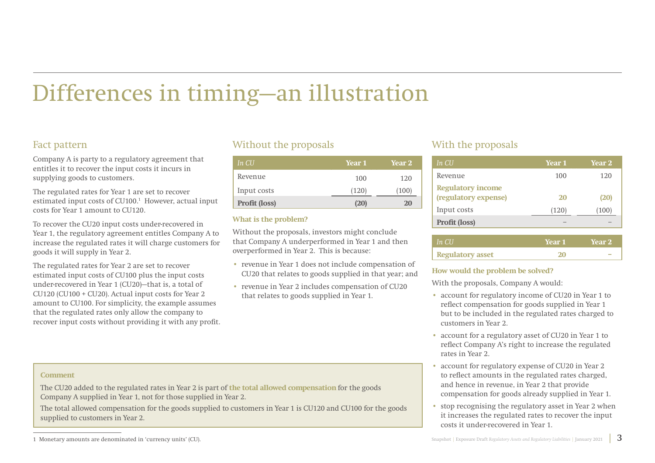# Differences in timing—an illustration

### Fact pattern

Company A is party to a regulatory agreement that entitles it to recover the input costs it incurs in supplying goods to customers.

The regulated rates for Year 1 are set to recover estimated input costs of CU100.1 However, actual input costs for Year 1 amount to CU120.

To recover the CU20 input costs under-recovered in Year 1, the regulatory agreement entitles Company A to increase the regulated rates it will charge customers for goods it will supply in Year 2.

The regulated rates for Year 2 are set to recover estimated input costs of CU100 plus the input costs under-recovered in Year 1 (CU20)—that is, a total of CU120 (CU100 + CU20). Actual input costs for Year 2 amount to CU100. For simplicity, the example assumes that the regulated rates only allow the company to recover input costs without providing it with any profit.

### Without the proposals

| In CU         | Year 1 | <b>Year 2</b> |
|---------------|--------|---------------|
| Revenue       | 100    | 120           |
| Input costs   | (120)  | (100)         |
| Profit (loss) | (20)   | 20            |

### **What is the problem?**

Without the proposals, investors might conclude that Company A underperformed in Year 1 and then overperformed in Year 2. This is because:

- revenue in Year 1 does not include compensation of CU20 that relates to goods supplied in that year; and
- revenue in Year 2 includes compensation of CU20 that relates to goods supplied in Year 1.

### With the proposals

| In CU                                            | <b>Year 1</b> | <b>Year 2</b> |
|--------------------------------------------------|---------------|---------------|
| Revenue                                          | 100           | 120           |
| <b>Regulatory income</b><br>(regulatory expense) | <b>20</b>     | (20)          |
| Input costs                                      | (120)         | (100)         |
| <b>Profit (loss)</b>                             |               |               |
|                                                  |               |               |

| In $ClJ$         | <b>Year 1</b> | <b>Year 2</b> |
|------------------|---------------|---------------|
| Regulatory asset | 20            |               |

### **How would the problem be solved?**

With the proposals, Company A would:

- account for regulatory income of CU20 in Year 1 to reflect compensation for goods supplied in Year 1 but to be included in the regulated rates charged to customers in Year 2.
- account for a regulatory asset of CU20 in Year 1 to reflect Company A's right to increase the regulated rates in Year 2.
- account for regulatory expense of CU20 in Year 2 to reflect amounts in the regulated rates charged, and hence in revenue, in Year 2 that provide compensation for goods already supplied in Year 1.
- stop recognising the regulatory asset in Year 2 when it increases the regulated rates to recover the input costs it under-recovered in Year 1.

### **Comment**

The CU20 added to the regulated rates in Year 2 is part of **the total allowed compensation** for the goods Company A supplied in Year 1, not for those supplied in Year 2.

The total allowed compensation for the goods supplied to customers in Year 1 is CU120 and CU100 for the goods supplied to customers in Year 2.

<sup>1</sup> Monetary amounts are denominated in 'currency units' (CU).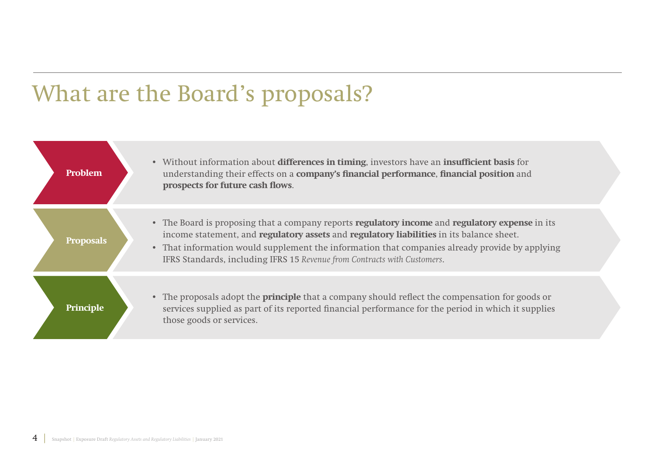# What are the Board's proposals?

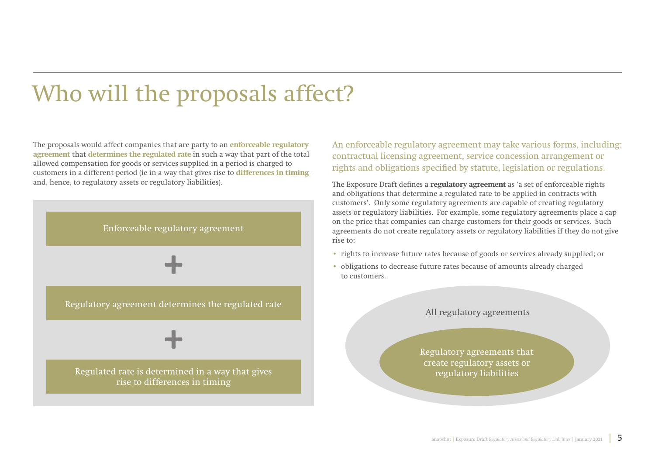# Who will the proposals affect?

The proposals would affect companies that are party to an **enforceable regulatory agreement** that **determines the regulated rate** in such a way that part of the total allowed compensation for goods or services supplied in a period is charged to customers in a different period (ie in a way that gives rise to **differences in timing** and, hence, to regulatory assets or regulatory liabilities).



An enforceable regulatory agreement may take various forms, including: contractual licensing agreement, service concession arrangement or rights and obligations specified by statute, legislation or regulations.

The Exposure Draft defines a **regulatory agreement** as 'a set of enforceable rights and obligations that determine a regulated rate to be applied in contracts with customers'. Only some regulatory agreements are capable of creating regulatory assets or regulatory liabilities. For example, some regulatory agreements place a cap on the price that companies can charge customers for their goods or services. Such agreements do not create regulatory assets or regulatory liabilities if they do not give rise to:

- rights to increase future rates because of goods or services already supplied; or
- obligations to decrease future rates because of amounts already charged to customers.



Regulatory agreements that create regulatory assets or regulatory liabilities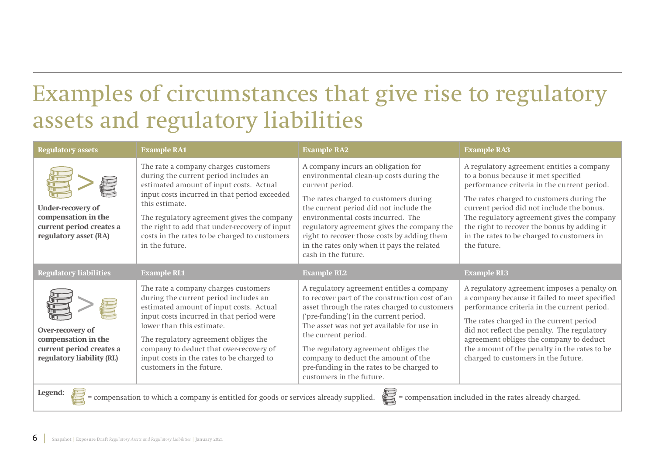# Examples of circumstances that give rise to regulatory assets and regulatory liabilities

| <b>Regulatory assets</b>                                                                                                                                  | <b>Example RA1</b>                                                                                                                                                                                                                                                                                                                                            | <b>Example RA2</b>                                                                                                                                                                                                                                                                                                                                                                                                 | <b>Example RA3</b>                                                                                                                                                                                                                                                                                                                                                                  |
|-----------------------------------------------------------------------------------------------------------------------------------------------------------|---------------------------------------------------------------------------------------------------------------------------------------------------------------------------------------------------------------------------------------------------------------------------------------------------------------------------------------------------------------|--------------------------------------------------------------------------------------------------------------------------------------------------------------------------------------------------------------------------------------------------------------------------------------------------------------------------------------------------------------------------------------------------------------------|-------------------------------------------------------------------------------------------------------------------------------------------------------------------------------------------------------------------------------------------------------------------------------------------------------------------------------------------------------------------------------------|
| <b>Under-recovery of</b><br>compensation in the<br>current period creates a<br>regulatory asset (RA)                                                      | The rate a company charges customers<br>during the current period includes an<br>estimated amount of input costs. Actual<br>input costs incurred in that period exceeded<br>this estimate.<br>The regulatory agreement gives the company<br>the right to add that under-recovery of input<br>costs in the rates to be charged to customers<br>in the future.  | A company incurs an obligation for<br>environmental clean-up costs during the<br>current period.<br>The rates charged to customers during<br>the current period did not include the<br>environmental costs incurred. The<br>regulatory agreement gives the company the<br>right to recover those costs by adding them<br>in the rates only when it pays the related<br>cash in the future.                         | A regulatory agreement entitles a company<br>to a bonus because it met specified<br>performance criteria in the current period.<br>The rates charged to customers during the<br>current period did not include the bonus.<br>The regulatory agreement gives the company<br>the right to recover the bonus by adding it<br>in the rates to be charged to customers in<br>the future. |
| <b>Regulatory liabilities</b>                                                                                                                             | <b>Example RL1</b>                                                                                                                                                                                                                                                                                                                                            | <b>Example RL2</b>                                                                                                                                                                                                                                                                                                                                                                                                 | <b>Example RL3</b>                                                                                                                                                                                                                                                                                                                                                                  |
| Over-recovery of<br>compensation in the<br>current period creates a<br>regulatory liability (RL)                                                          | The rate a company charges customers<br>during the current period includes an<br>estimated amount of input costs. Actual<br>input costs incurred in that period were<br>lower than this estimate.<br>The regulatory agreement obliges the<br>company to deduct that over-recovery of<br>input costs in the rates to be charged to<br>customers in the future. | A regulatory agreement entitles a company<br>to recover part of the construction cost of an<br>asset through the rates charged to customers<br>('pre-funding') in the current period.<br>The asset was not yet available for use in<br>the current period.<br>The regulatory agreement obliges the<br>company to deduct the amount of the<br>pre-funding in the rates to be charged to<br>customers in the future. | A regulatory agreement imposes a penalty on<br>a company because it failed to meet specified<br>performance criteria in the current period.<br>The rates charged in the current period<br>did not reflect the penalty. The regulatory<br>agreement obliges the company to deduct<br>the amount of the penalty in the rates to be<br>charged to customers in the future.             |
| Legend:<br>= compensation to which a company is entitled for goods or services already supplied.<br>= compensation included in the rates already charged. |                                                                                                                                                                                                                                                                                                                                                               |                                                                                                                                                                                                                                                                                                                                                                                                                    |                                                                                                                                                                                                                                                                                                                                                                                     |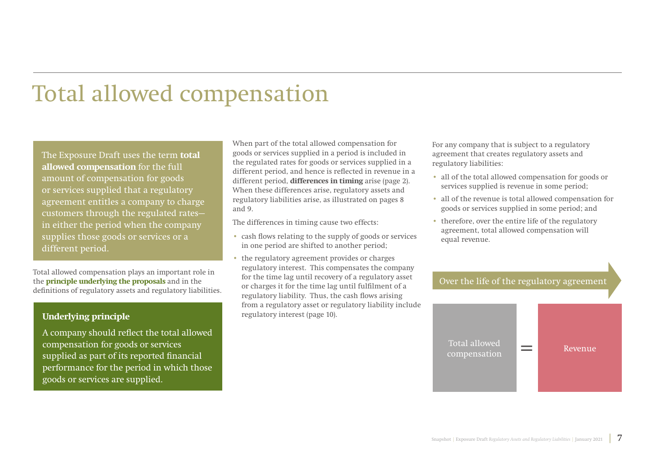## Total allowed compensation

The Exposure Draft uses the term **total allowed compensation** for the full amount of compensation for goods or services supplied that a regulatory agreement entitles a company to charge customers through the regulated rates in either the period when the company supplies those goods or services or a different period.

Total allowed compensation plays an important role in the **principle underlying the proposals** and in the definitions of regulatory assets and regulatory liabilities.

### **Underlying principle**

A company should reflect the total allowed compensation for goods or services supplied as part of its reported financial performance for the period in which those goods or services are supplied.

When part of the total allowed compensation for goods or services supplied in a period is included in the regulated rates for goods or services supplied in a different period, and hence is reflected in revenue in a different period, **differences in timing** arise (page 2). When these differences arise, regulatory assets and regulatory liabilities arise, as illustrated on pages 8 and 9.

The differences in timing cause two effects:

- cash flows relating to the supply of goods or services in one period are shifted to another period;
- the regulatory agreement provides or charges regulatory interest. This compensates the company for the time lag until recovery of a regulatory asset or charges it for the time lag until fulfilment of a regulatory liability. Thus, the cash flows arising from a regulatory asset or regulatory liability include regulatory interest (page 10).

For any company that is subject to a regulatory agreement that creates regulatory assets and regulatory liabilities:

- all of the total allowed compensation for goods or services supplied is revenue in some period;
- all of the revenue is total allowed compensation for goods or services supplied in some period; and
- therefore, over the entire life of the regulatory agreement, total allowed compensation will equal revenue.

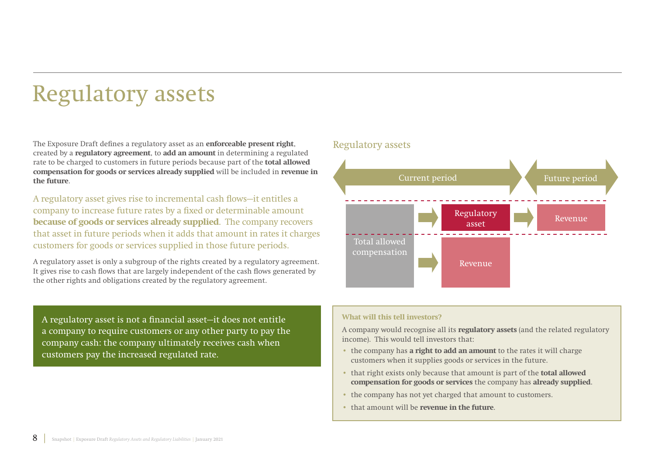## Regulatory assets

The Exposure Draft defines a regulatory asset as an **enforceable present right**, created by a **regulatory agreement**, to **add an amount** in determining a regulated rate to be charged to customers in future periods because part of the **total allowed compensation for goods or services already supplied** will be included in **revenue in the future**.

A regulatory asset gives rise to incremental cash flows—it entitles a company to increase future rates by a fixed or determinable amount **because of goods or services already supplied**. The company recovers that asset in future periods when it adds that amount in rates it charges customers for goods or services supplied in those future periods.

A regulatory asset is only a subgroup of the rights created by a regulatory agreement. It gives rise to cash flows that are largely independent of the cash flows generated by the other rights and obligations created by the regulatory agreement.

A regulatory asset is not a financial asset—it does not entitle a company to require customers or any other party to pay the company cash: the company ultimately receives cash when customers pay the increased regulated rate.

### Regulatory assets



#### **What will this tell investors?**

A company would recognise all its **regulatory assets** (and the related regulatory income). This would tell investors that:

- the company has **a right to add an amount** to the rates it will charge customers when it supplies goods or services in the future.
- that right exists only because that amount is part of the **total allowed compensation for goods or services** the company has **already supplied**.
- the company has not yet charged that amount to customers.
- that amount will be **revenue in the future**.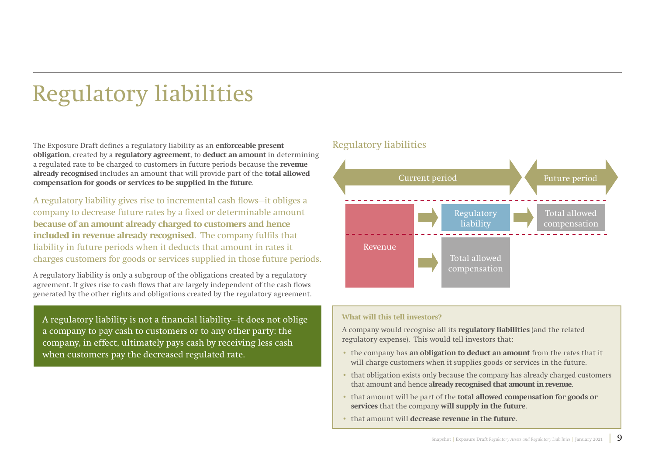# Regulatory liabilities

The Exposure Draft defines a regulatory liability as an **enforceable present obligation**, created by a **regulatory agreement**, to **deduct an amount** in determining a regulated rate to be charged to customers in future periods because the **revenue already recognised** includes an amount that will provide part of the **total allowed compensation for goods or services to be supplied in the future**.

A regulatory liability gives rise to incremental cash flows—it obliges a company to decrease future rates by a fixed or determinable amount **because of an amount already charged to customers and hence included in revenue already recognised**. The company fulfils that liability in future periods when it deducts that amount in rates it charges customers for goods or services supplied in those future periods.

A regulatory liability is only a subgroup of the obligations created by a regulatory agreement. It gives rise to cash flows that are largely independent of the cash flows generated by the other rights and obligations created by the regulatory agreement.

A regulatory liability is not a financial liability—it does not oblige a company to pay cash to customers or to any other party: the company, in effect, ultimately pays cash by receiving less cash when customers pay the decreased regulated rate.

### Regulatory liabilities



#### **What will this tell investors?**

A company would recognise all its **regulatory liabilities** (and the related regulatory expense). This would tell investors that:

- the company has **an obligation to deduct an amount** from the rates that it will charge customers when it supplies goods or services in the future.
- that obligation exists only because the company has already charged customers that amount and hence a**lready recognised that amount in revenue**.
- that amount will be part of the **total allowed compensation for goods or services** that the company **will supply in the future**.
- that amount will **decrease revenue in the future**.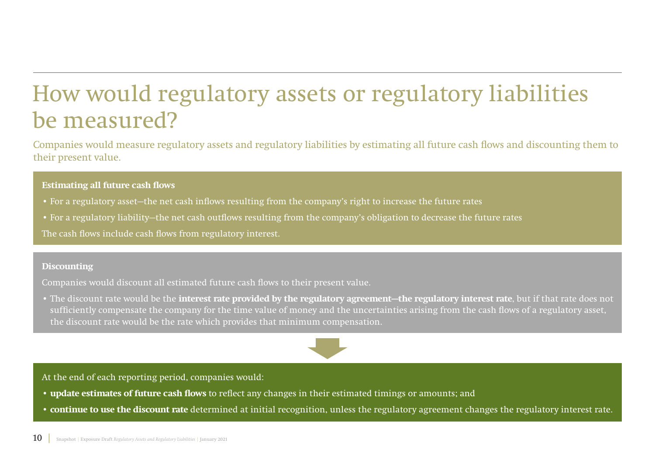## How would regulatory assets or regulatory liabilities be measured?

Companies would measure regulatory assets and regulatory liabilities by estimating all future cash flows and discounting them to their present value.

### **Estimating all future cash flows**

- For a regulatory asset—the net cash inflows resulting from the company's right to increase the future rates
- For a regulatory liability—the net cash outflows resulting from the company's obligation to decrease the future rates

The cash flows include cash flows from regulatory interest.

### **Discounting**

Companies would discount all estimated future cash flows to their present value.

• The discount rate would be the **interest rate provided by the regulatory agreement—the regulatory interest rate**, but if that rate does not sufficiently compensate the company for the time value of money and the uncertainties arising from the cash flows of a regulatory asset, the discount rate would be the rate which provides that minimum compensation.



At the end of each reporting period, companies would:

- **update estimates of future cash flows** to reflect any changes in their estimated timings or amounts; and
- **continue to use the discount rate** determined at initial recognition, unless the regulatory agreement changes the regulatory interest rate.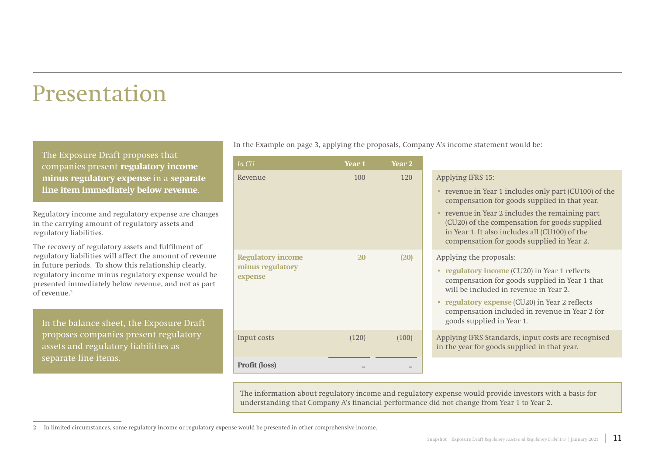### Presentation

The Exposure Draft proposes that companies present **regulatory income minus regulatory expense** in a **separate line item immediately below revenue**.

Regulatory income and regulatory expense are changes in the carrying amount of regulatory assets and regulatory liabilities.

The recovery of regulatory assets and fulfilment of regulatory liabilities will affect the amount of revenue in future periods. To show this relationship clearly, regulatory income minus regulatory expense would be presented immediately below revenue, and not as part of revenue.2

In the balance sheet, the Exposure Draft proposes companies present regulatory assets and regulatory liabilities as separate line items.

In the Example on page 3, applying the proposals, Company A's income statement would be:

| $In\;CU$                                                | Year 1 | Year 2 |
|---------------------------------------------------------|--------|--------|
| Revenue                                                 | 100    | 120    |
| <b>Regulatory income</b><br>minus regulatory<br>expense | 20     | (20)   |
| Input costs                                             | (120)  | (100)  |
| Profit (loss)                                           |        |        |

Applying IFRS 15:

- revenue in Year 1 includes only part (CU100) of the compensation for goods supplied in that year.
- revenue in Year 2 includes the remaining part (CU20) of the compensation for goods supplied in Year 1. It also includes all (CU100) of the compensation for goods supplied in Year 2.

**20 (20)** Applying the proposals:

- **regulatory income** (CU20) in Year 1 reflects compensation for goods supplied in Year 1 that will be included in revenue in Year 2.
- **regulatory expense** (CU20) in Year 2 reflects compensation included in revenue in Year 2 for goods supplied in Year 1.

Applying IFRS Standards, input costs are recognised in the year for goods supplied in that year.

The information about regulatory income and regulatory expense would provide investors with a basis for understanding that Company A's financial performance did not change from Year 1 to Year 2.

<sup>2</sup> In limited circumstances, some regulatory income or regulatory expense would be presented in other comprehensive income.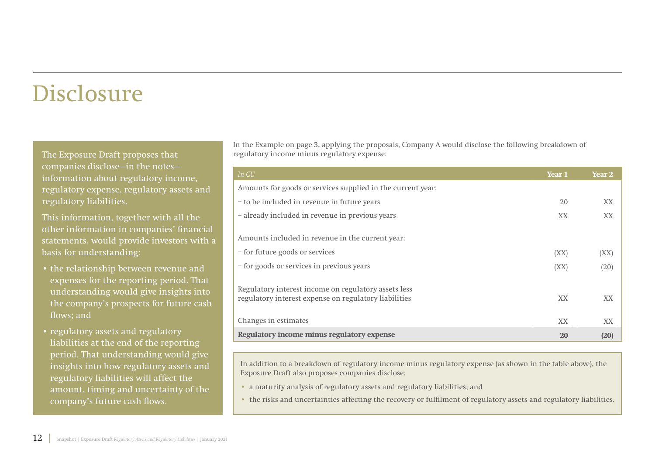## Disclosure

The Exposure Draft proposes that companies disclose—in the notes information about regulatory income, regulatory expense, regulatory assets and regulatory liabilities.

This information, together with all the other information in companies' financial statements, would provide investors with a basis for understanding:

- the relationship between revenue and expenses for the reporting period. That understanding would give insights into the company's prospects for future cash flows; and
- regulatory assets and regulatory liabilities at the end of the reporting period. That understanding would give insights into how regulatory assets and regulatory liabilities will affect the amount, timing and uncertainty of the company's future cash flows.

In the Example on page 3, applying the proposals, Company A would disclose the following breakdown of regulatory income minus regulatory expense:

| In <sub>CU</sub>                                            | Year 1 | Year 2 |
|-------------------------------------------------------------|--------|--------|
| Amounts for goods or services supplied in the current year: |        |        |
| - to be included in revenue in future years                 | 20     | XX     |
| - already included in revenue in previous years             | XX     | XX     |
|                                                             |        |        |
| Amounts included in revenue in the current year:            |        |        |
| - for future goods or services                              | (XX)   | (XX)   |
| - for goods or services in previous years                   | (XX)   | (20)   |
|                                                             |        |        |
| Regulatory interest income on regulatory assets less        |        |        |
| regulatory interest expense on regulatory liabilities       | XX     | XX     |
| Changes in estimates                                        | XX     | XX     |
|                                                             |        |        |
| Regulatory income minus regulatory expense                  | 20     | (20)   |

In addition to a breakdown of regulatory income minus regulatory expense (as shown in the table above), the Exposure Draft also proposes companies disclose:

- a maturity analysis of regulatory assets and regulatory liabilities; and
- the risks and uncertainties affecting the recovery or fulfilment of regulatory assets and regulatory liabilities.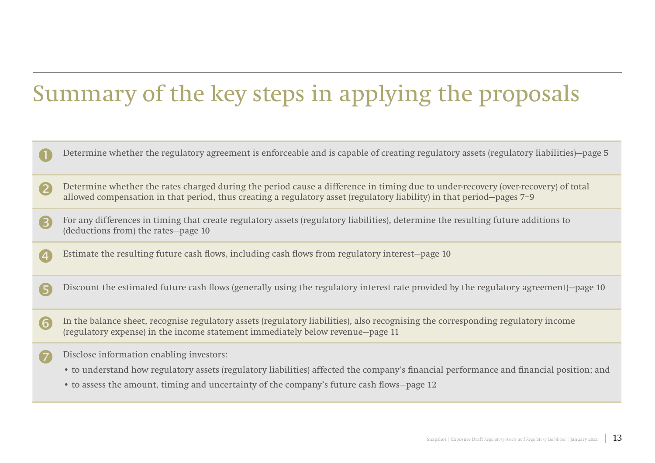# Summary of the key steps in applying the proposals

- Determine whether the regulatory agreement is enforceable and is capable of creating regulatory assets (regulatory liabilities)—page 5
- Determine whether the rates charged during the period cause a difference in timing due to under-recovery (over-recovery) of total allowed compensation in that period, thus creating a regulatory asset (regulatory liability) in that period—pages 7–9
- For any differences in timing that create regulatory assets (regulatory liabilities), determine the resulting future additions to (deductions from) the rates—page 10
- Estimate the resulting future cash flows, including cash flows from regulatory interest—page 10
- Discount the estimated future cash flows (generally using the regulatory interest rate provided by the regulatory agreement)—page 10
- In the balance sheet, recognise regulatory assets (regulatory liabilities), also recognising the corresponding regulatory income (regulatory expense) in the income statement immediately below revenue—page 11
- Disclose information enabling investors:
	- to understand how regulatory assets (regulatory liabilities) affected the company's financial performance and financial position; and
	- to assess the amount, timing and uncertainty of the company's future cash flows—page 12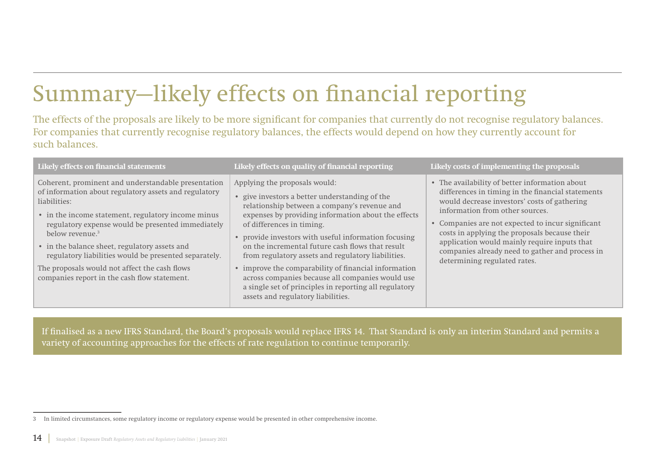# Summary—likely effects on financial reporting

The effects of the proposals are likely to be more significant for companies that currently do not recognise regulatory balances. For companies that currently recognise regulatory balances, the effects would depend on how they currently account for such balances.

| Likely effects on financial statements                                                                                                                                                                                                                                                                                                                                                                                                                                   | Likely effects on quality of financial reporting                                                                                                                                                                                                                                                                                                                                                                                                                                                                                                                                                | Likely costs of implementing the proposals                                                                                                                                                                                                                                                                                                                                                                                      |
|--------------------------------------------------------------------------------------------------------------------------------------------------------------------------------------------------------------------------------------------------------------------------------------------------------------------------------------------------------------------------------------------------------------------------------------------------------------------------|-------------------------------------------------------------------------------------------------------------------------------------------------------------------------------------------------------------------------------------------------------------------------------------------------------------------------------------------------------------------------------------------------------------------------------------------------------------------------------------------------------------------------------------------------------------------------------------------------|---------------------------------------------------------------------------------------------------------------------------------------------------------------------------------------------------------------------------------------------------------------------------------------------------------------------------------------------------------------------------------------------------------------------------------|
| Coherent, prominent and understandable presentation<br>of information about regulatory assets and regulatory<br>liabilities:<br>• in the income statement, regulatory income minus<br>regulatory expense would be presented immediately<br>below revenue. $3$<br>• in the balance sheet, regulatory assets and<br>regulatory liabilities would be presented separately.<br>The proposals would not affect the cash flows<br>companies report in the cash flow statement. | Applying the proposals would:<br>give investors a better understanding of the<br>relationship between a company's revenue and<br>expenses by providing information about the effects<br>of differences in timing.<br>• provide investors with useful information focusing<br>on the incremental future cash flows that result<br>from regulatory assets and regulatory liabilities.<br>• improve the comparability of financial information<br>across companies because all companies would use<br>a single set of principles in reporting all regulatory<br>assets and regulatory liabilities. | • The availability of better information about<br>differences in timing in the financial statements<br>would decrease investors' costs of gathering<br>information from other sources.<br>• Companies are not expected to incur significant<br>costs in applying the proposals because their<br>application would mainly require inputs that<br>companies already need to gather and process in<br>determining regulated rates. |

If finalised as a new IFRS Standard, the Board's proposals would replace IFRS 14. That Standard is only an interim Standard and permits a variety of accounting approaches for the effects of rate regulation to continue temporarily.

<sup>3</sup> In limited circumstances, some regulatory income or regulatory expense would be presented in other comprehensive income.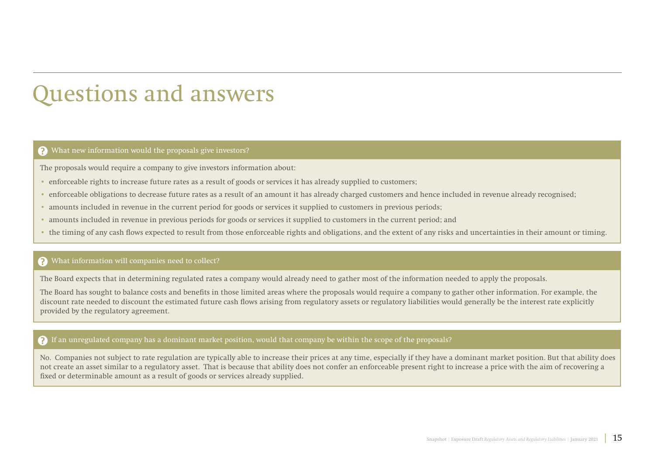## Questions and answers

#### What new information would the proposals give investors?

The proposals would require a company to give investors information about:

- enforceable rights to increase future rates as a result of goods or services it has already supplied to customers;
- enforceable obligations to decrease future rates as a result of an amount it has already charged customers and hence included in revenue already recognised;
- amounts included in revenue in the current period for goods or services it supplied to customers in previous periods;
- amounts included in revenue in previous periods for goods or services it supplied to customers in the current period; and
- the timing of any cash flows expected to result from those enforceable rights and obligations, and the extent of any risks and uncertainties in their amount or timing.

### What information will companies need to collect?

The Board expects that in determining regulated rates a company would already need to gather most of the information needed to apply the proposals.

The Board has sought to balance costs and benefits in those limited areas where the proposals would require a company to gather other information. For example, the discount rate needed to discount the estimated future cash flows arising from regulatory assets or regulatory liabilities would generally be the interest rate explicitly provided by the regulatory agreement.

### $\bullet$  If an unregulated company has a dominant market position, would that company be within the scope of the proposals?

No. Companies not subject to rate regulation are typically able to increase their prices at any time, especially if they have a dominant market position. But that ability does not create an asset similar to a regulatory asset. That is because that ability does not confer an enforceable present right to increase a price with the aim of recovering a fixed or determinable amount as a result of goods or services already supplied.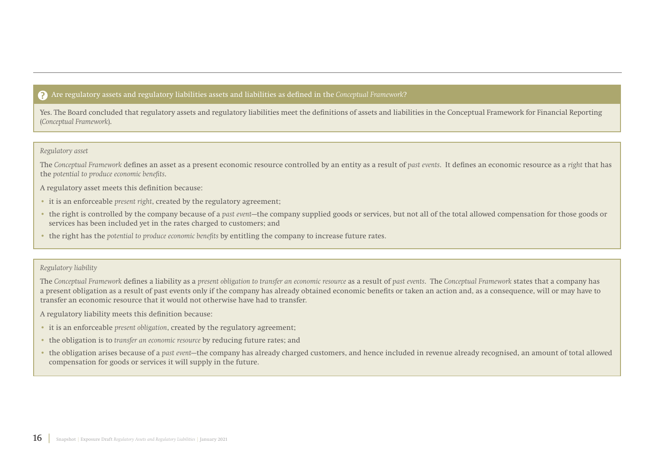### Are regulatory assets and regulatory liabilities assets and liabilities as defined in the *Conceptual Framework*?

Yes. The Board concluded that regulatory assets and regulatory liabilities meet the definitions of assets and liabilities in the Conceptual Framework for Financial Reporting (*Conceptual Framework*).

*Regulatory asset* 

The *Conceptual Framework* defines an asset as a present economic resource controlled by an entity as a result of *past events*. It defines an economic resource as a *right* that has the *potential to produce economic benefits*.

A regulatory asset meets this definition because:

- it is an enforceable *present right*, created by the regulatory agreement;
- the right is controlled by the company because of a *past event*—the company supplied goods or services, but not all of the total allowed compensation for those goods or services has been included yet in the rates charged to customers; and
- the right has the *potential to produce economic benefits* by entitling the company to increase future rates.

### *Regulatory liability*

The *Conceptual Framework* defines a liability as a *present obligation to transfer an economic resource* as a result of *past events*. The *Conceptual Framework* states that a company has a present obligation as a result of past events only if the company has already obtained economic benefits or taken an action and, as a consequence, will or may have to transfer an economic resource that it would not otherwise have had to transfer.

A regulatory liability meets this definition because:

- it is an enforceable *present obligation*, created by the regulatory agreement;
- the obligation is to *transfer an economic resource* by reducing future rates; and
- the obligation arises because of a *past event*—the company has already charged customers, and hence included in revenue already recognised, an amount of total allowed compensation for goods or services it will supply in the future.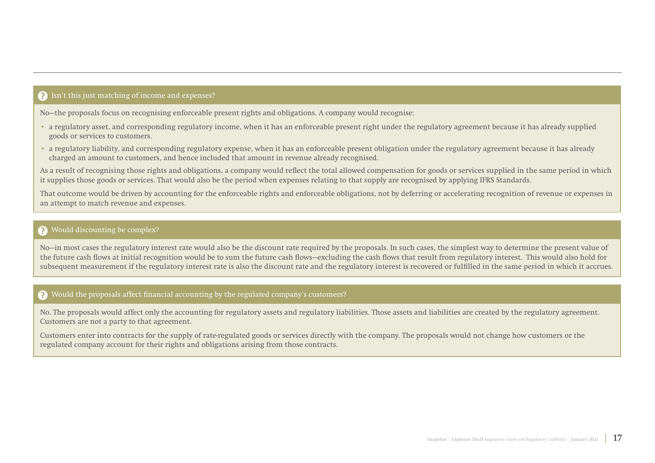### Isn't this just matching of income and expenses?

No—the proposals focus on recognising enforceable present rights and obligations. A company would recognise:

- a regulatory asset, and corresponding regulatory income, when it has an enforceable present right under the regulatory agreement because it has already supplied goods or services to customers.
- a regulatory liability, and corresponding regulatory expense, when it has an enforceable present obligation under the regulatory agreement because it has already charged an amount to customers, and hence included that amount in revenue already recognised.

As a result of recognising those rights and obligations, a company would reflect the total allowed compensation for goods or services supplied in the same period in which it supplies those goods or services. That would also be the period when expenses relating to that supply are recognised by applying IFRS Standards.

That outcome would be driven by accounting for the enforceable rights and enforceable obligations, not by deferring or accelerating recognition of revenue or expenses in an attempt to match revenue and expenses.

### Would discounting be complex?

No-in most cases the regulatory interest rate would also be the discount rate required by the proposals. In such cases, the simplest way to determine the present value of the future cash flows at initial recognition would be to sum the future cash flows—excluding the cash flows that result from regulatory interest. This would also hold for subsequent measurement if the regulatory interest rate is also the discount rate and the regulatory interest is recovered or fulfilled in the same period in which it accrues.

### Would the proposals affect financial accounting by the regulated company's customers?

No. The proposals would affect only the accounting for regulatory assets and regulatory liabilities. Those assets and liabilities are created by the regulatory agreement. Customers are not a party to that agreement.

Customers enter into contracts for the supply of rate-regulated goods or services directly with the company. The proposals would not change how customers or the regulated company account for their rights and obligations arising from those contracts.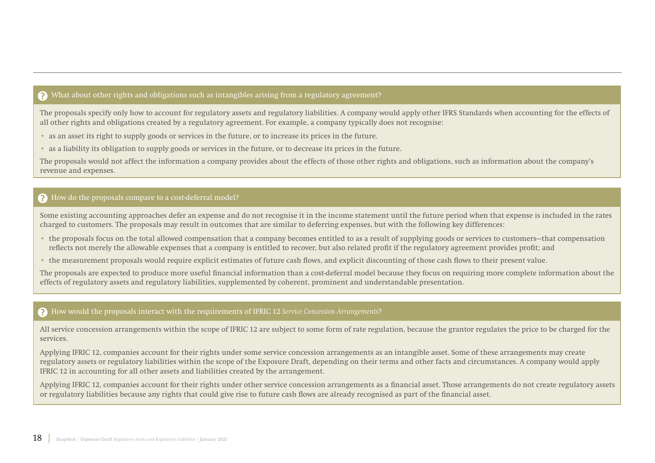### What about other rights and obligations such as intangibles arising from a regulatory agreement?

The proposals specify only how to account for regulatory assets and regulatory liabilities. A company would apply other IFRS Standards when accounting for the effects of all other rights and obligations created by a regulatory agreement. For example, a company typically does not recognise:

- as an asset its right to supply goods or services in the future, or to increase its prices in the future.
- as a liability its obligation to supply goods or services in the future, or to decrease its prices in the future.

The proposals would not affect the information a company provides about the effects of those other rights and obligations, such as information about the company's revenue and expenses.

### How do the proposals compare to a cost-deferral model?

Some existing accounting approaches defer an expense and do not recognise it in the income statement until the future period when that expense is included in the rates charged to customers. The proposals may result in outcomes that are similar to deferring expenses, but with the following key differences:

- the proposals focus on the total allowed compensation that a company becomes entitled to as a result of supplying goods or services to customers—that compensation reflects not merely the allowable expenses that a company is entitled to recover, but also related profit if the regulatory agreement provides profit; and
- the measurement proposals would require explicit estimates of future cash flows, and explicit discounting of those cash flows to their present value.

The proposals are expected to produce more useful financial information than a cost-deferral model because they focus on requiring more complete information about the effects of regulatory assets and regulatory liabilities, supplemented by coherent, prominent and understandable presentation.

### How would the proposals interact with the requirements of IFRIC 12 *Service Concession Arrangements*?

All service concession arrangements within the scope of IFRIC 12 are subject to some form of rate regulation, because the grantor regulates the price to be charged for the services.

Applying IFRIC 12, companies account for their rights under some service concession arrangements as an intangible asset. Some of these arrangements may create regulatory assets or regulatory liabilities within the scope of the Exposure Draft, depending on their terms and other facts and circumstances. A company would apply IFRIC 12 in accounting for all other assets and liabilities created by the arrangement.

Applying IFRIC 12, companies account for their rights under other service concession arrangements as a financial asset. Those arrangements do not create regulatory assets or regulatory liabilities because any rights that could give rise to future cash flows are already recognised as part of the financial asset.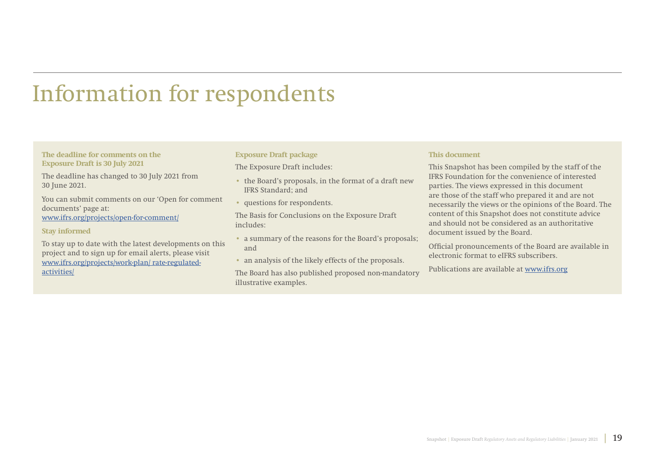## Information for respondents

#### **The deadline for comments on the Exposure Draft is 30 July 2021**

The deadline has changed to 30 July 2021 from 30 June 2021.

You can submit comments on our 'Open for comment documents' page at: [www.ifrs.org/projects/open-for-comment/](https://www.ifrs.org/projects/open-for-comment/)

#### **Stay informed**

To stay up to date with the latest developments on this project and to sign up for email alerts, please visit [www.ifrs.org/projects/work-plan/ rate-regulated](https://www.ifrs.org/projects/work-plan/%20rate-regulated-activities/)[activities/](https://www.ifrs.org/projects/work-plan/%20rate-regulated-activities/)

#### **Exposure Draft package**

The Exposure Draft includes:

- the Board's proposals, in the format of a draft new IFRS Standard; and
- questions for respondents.

The Basis for Conclusions on the Exposure Draft includes:

- a summary of the reasons for the Board's proposals; and
- an analysis of the likely effects of the proposals.

The Board has also published proposed non-mandatory illustrative examples.

#### **This document**

This Snapshot has been compiled by the staff of the IFRS Foundation for the convenience of interested parties. The views expressed in this document are those of the staff who prepared it and are not necessarily the views or the opinions of the Board. The content of this Snapshot does not constitute advice and should not be considered as an authoritative document issued by the Board.

Official pronouncements of the Board are available in electronic format to eIFRS subscribers.

Publications are available at [www.ifrs.org](http://www.ifrs.org)